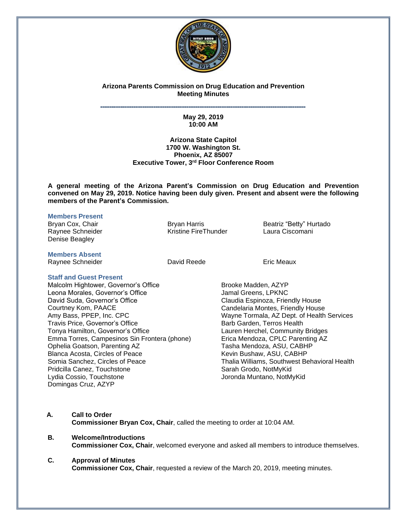

## **Arizona Parents Commission on Drug Education and Prevention Meeting Minutes**

### **˭˭˭˭˭˭˭˭˭˭˭˭˭˭˭˭˭˭˭˭˭˭˭˭˭˭˭˭˭˭˭˭˭˭˭˭˭˭˭˭˭˭˭˭˭˭˭˭˭˭˭˭˭˭˭˭˭˭˭˭˭˭˭˭˭˭˭˭˭˭˭˭˭˭˭˭˭˭˭˭˭˭˭˭˭˭˭˭˭˭˭˭˭ May 29, 2019 10:00 AM**

## **Arizona State Capitol 1700 W. Washington St. Phoenix, AZ 85007 Executive Tower, 3 rd Floor Conference Room**

**A general meeting of the Arizona Parent's Commission on Drug Education and Prevention convened on May 29, 2019. Notice having been duly given. Present and absent were the following members of the Parent's Commission.**

## **Members Present**

Bryan Cox, Chair **Bryan Harris** Bryan Harris **Beatriz "Betty" Hurtado** Raynee Schneider Thunder TreThunder Laura Ciscomani Denise Beagley

**Members Absent** Raynee Schneider **Navigater Contract Contract David Reede** Eric Meaux

# **Staff and Guest Present**

Malcolm Hightower, Governor's Office Leona Morales, Governor's Office David Suda, Governor's Office Courtney Kom, PAACE Amy Bass, PPEP, Inc. CPC Travis Price, Governor's Office Tonya Hamilton, Governor's Office Emma Torres, Campesinos Sin Frontera (phone) Ophelia Goatson, Parenting AZ Blanca Acosta, Circles of Peace Somia Sanchez, Circles of Peace Pridcilla Canez, Touchstone Lydia Cossio, Touchstone Domingas Cruz, AZYP

Brooke Madden, AZYP Jamal Greens, LPKNC Claudia Espinoza, Friendly House Candelaria Montes, Friendly House Wayne Tormala, AZ Dept. of Health Services Barb Garden, Terros Health Lauren Herchel, Community Bridges Erica Mendoza, CPLC Parenting AZ Tasha Mendoza, ASU, CABHP Kevin Bushaw, ASU, CABHP Thalia Williams, Southwest Behavioral Health Sarah Grodo, NotMyKid Joronda Muntano, NotMyKid

## **A. Call to Order**

**Commissioner Bryan Cox, Chair**, called the meeting to order at 10:04 AM.

## **B. Welcome/Introductions Commissioner Cox, Chair**, welcomed everyone and asked all members to introduce themselves.

## **C. Approval of Minutes**

**Commissioner Cox, Chair**, requested a review of the March 20, 2019, meeting minutes.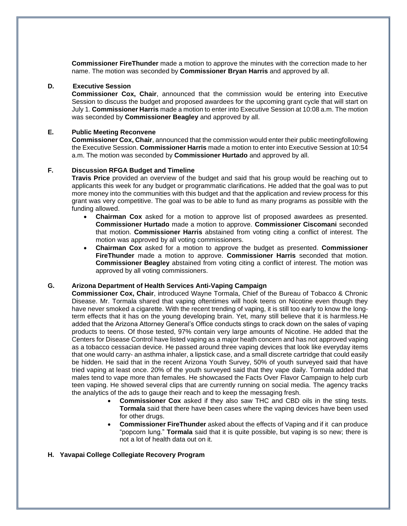**Commissioner FireThunder** made a motion to approve the minutes with the correction made to her name. The motion was seconded by **Commissioner Bryan Harris** and approved by all.

## **D. Executive Session**

**Commissioner Cox, Chair**, announced that the commission would be entering into Executive Session to discuss the budget and proposed awardees for the upcoming grant cycle that will start on July 1. **Commissioner Harris** made a motion to enter into Executive Session at 10:08 a.m. The motion was seconded by **Commissioner Beagley** and approved by all.

## **E. Public Meeting Reconvene**

**Commissioner Cox, Chair**, announced that the commission would enter their public meetingfollowing the Executive Session. **Commissioner Harris** made a motion to enter into Executive Session at 10:54 a.m. The motion was seconded by **Commissioner Hurtado** and approved by all.

#### **F. Discussion RFGA Budget and Timeline**

**Travis Price** provided an overview of the budget and said that his group would be reaching out to applicants this week for any budget or programmatic clarifications. He added that the goal was to put more money into the communities with this budget and that the application and review process for this grant was very competitive. The goal was to be able to fund as many programs as possible with the funding allowed.

- **Chairman Cox** asked for a motion to approve list of proposed awardees as presented. **Commissioner Hurtado** made a motion to approve. **Commissioner Ciscomani** seconded that motion. **Commissioner Harris** abstained from voting citing a conflict of interest. The motion was approved by all voting commissioners.
- **Chairman Cox** asked for a motion to approve the budget as presented. **Commissioner FireThunder** made a motion to approve. **Commissioner Harris** seconded that motion. **Commissioner Beagley** abstained from voting citing a conflict of interest. The motion was approved by all voting commissioners.

## **G. Arizona Department of Health Services Anti-Vaping Campaign**

**Commissioner Cox, Chair**, introduced Wayne Tormala, Chief of the Bureau of Tobacco & Chronic Disease. Mr. Tormala shared that vaping oftentimes will hook teens on Nicotine even though they have never smoked a cigarette. With the recent trending of vaping, it is still too early to know the longterm effects that it has on the young developing brain. Yet, many still believe that it is harmless.He added that the Arizona Attorney General's Office conducts stings to crack down on the sales of vaping products to teens. Of those tested, 97% contain very large amounts of Nicotine. He added that the Centers for Disease Control have listed vaping as a major heath concern and has not approved vaping as a tobacco cessacian device. He passed around three vaping devices that look like everyday items that one would carry- an asthma inhaler, a lipstick case, and a small discrete cartridge that could easily be hidden. He said that in the recent Arizona Youth Survey, 50% of youth surveyed said that have tried vaping at least once. 20% of the youth surveyed said that they vape daily. Tormala added that males tend to vape more than females. He showcased the Facts Over Flavor Campaign to help curb teen vaping. He showed several clips that are currently running on social media. The agency tracks the analytics of the ads to gauge their reach and to keep the messaging fresh.

- **Commissioner Cox** asked if they also saw THC and CBD oils in the sting tests. **Tormala** said that there have been cases where the vaping devices have been used for other drugs.
- **Commissioner FireThunder** asked about the effects of Vaping and if it can produce "popcorn lung." **Tormala** said that it is quite possible, but vaping is so new; there is not a lot of health data out on it.
- **H. Yavapai College Collegiate Recovery Program**